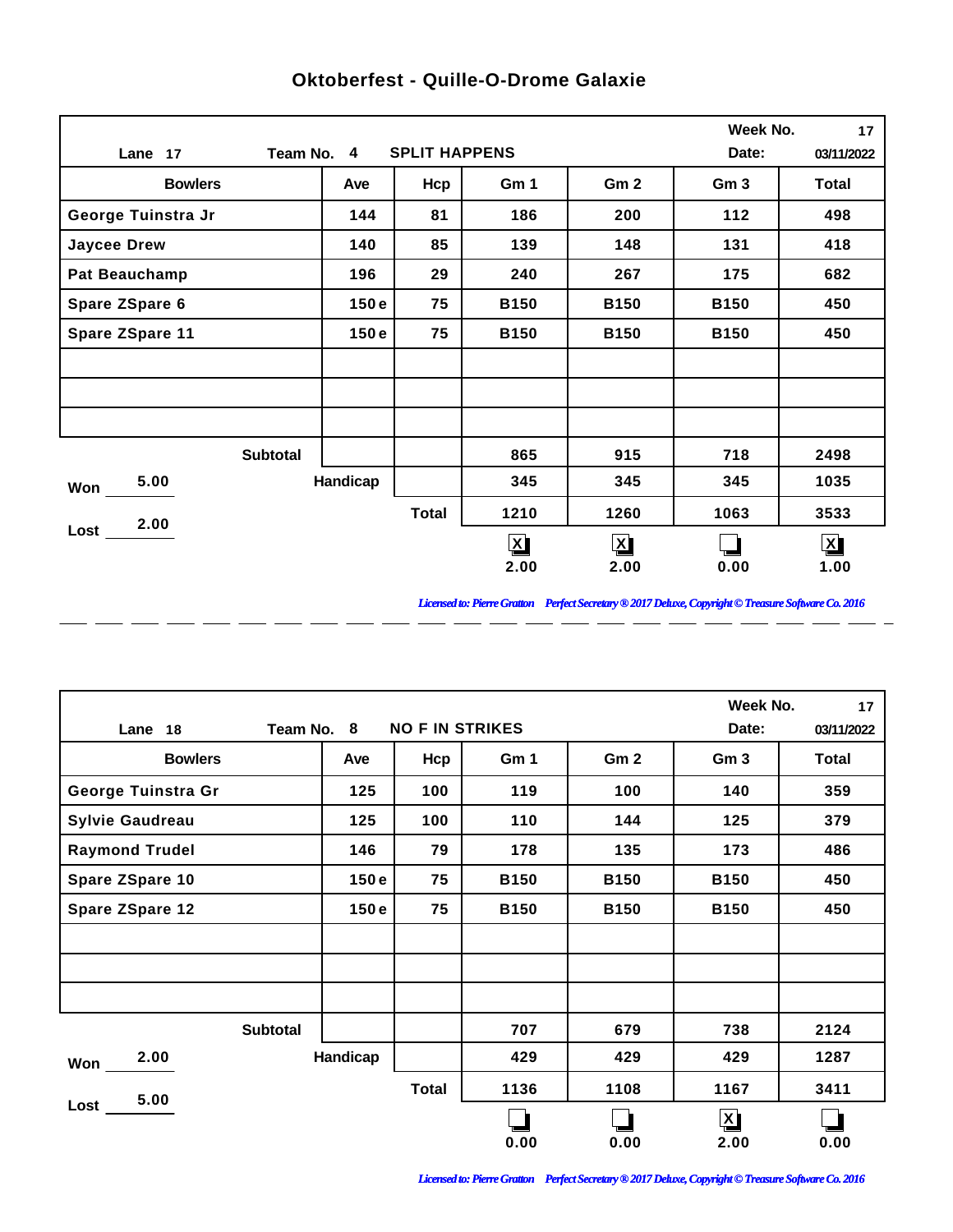|                      |                 |                      |              |                 | Week No.        | 17           |
|----------------------|-----------------|----------------------|--------------|-----------------|-----------------|--------------|
| Lane 17              | Team No. 4      | <b>SPLIT HAPPENS</b> |              |                 | Date:           | 03/11/2022   |
| <b>Bowlers</b>       | Ave             | Hcp                  | Gm 1         | Gm <sub>2</sub> | Gm <sub>3</sub> | <b>Total</b> |
| George Tuinstra Jr   | 144             | 81                   | 186          | 200             | 112             | 498          |
| <b>Jaycee Drew</b>   | 140             | 85                   | 139          | 148             | 131             | 418          |
| <b>Pat Beauchamp</b> | 196             | 29                   | 240          | 267             | 175             | 682          |
| Spare ZSpare 6       | 150e            | 75                   | <b>B150</b>  | <b>B150</b>     | <b>B150</b>     | 450          |
| Spare ZSpare 11      | 150e            | 75                   | <b>B150</b>  | <b>B150</b>     | <b>B150</b>     | 450          |
|                      |                 |                      |              |                 |                 |              |
|                      |                 |                      |              |                 |                 |              |
|                      |                 |                      |              |                 |                 |              |
|                      | <b>Subtotal</b> |                      | 865          | 915             | 718             | 2498         |
| 5.00<br>Won          | Handicap        |                      | 345          | 345             | 345             | 1035         |
| 2.00                 |                 | <b>Total</b>         | 1210         | 1260            | 1063            | 3533         |
| Lost                 |                 |                      | $\mathbf{X}$ | $\mathbf{X}$    |                 | $\mathbf{X}$ |
|                      |                 |                      | 2.00         | 2.00            | 0.00            | 1.00         |

 $\overline{a}$ 

 $\overline{a}$ 

 $\overline{a}$ 

 $\overline{a}$ 

 $\overline{a}$ 

 $\overline{a}$ 

 $\overline{a}$ 

## **Oktoberfest - Quille-O-Drome Galaxie**

*Licensed to: Pierre Gratton Perfect Secretary ® 2017 Deluxe, Copyright © Treasure Software Co. 2016*

<u> 2002 - 2003 - 2003 - 2003 - 2003 - 2003 - 2003 - 2003 - 2003 - 2003 - 2003 - 2003 - 2003 - 2003 - 2003 - 200</u>

|                        |            |                        |             |                 | Week No.        | 17         |
|------------------------|------------|------------------------|-------------|-----------------|-----------------|------------|
| Lane 18                | Team No. 8 | <b>NO F IN STRIKES</b> |             |                 | Date:           | 03/11/2022 |
| <b>Bowlers</b>         | Ave        | Hcp                    | Gm 1        | Gm <sub>2</sub> | Gm <sub>3</sub> | Total      |
| George Tuinstra Gr     | 125        | 100                    | 119         | 100             | 140             | 359        |
| <b>Sylvie Gaudreau</b> | 125        | 100                    | 110         | 144             | 125             | 379        |
| <b>Raymond Trudel</b>  | 146        | 79                     | 178         | 135             | 173             | 486        |
| Spare ZSpare 10        | 150e       | 75                     | <b>B150</b> | <b>B150</b>     | <b>B150</b>     | 450        |
| Spare ZSpare 12        | 150e       | 75                     | <b>B150</b> | <b>B150</b>     | <b>B150</b>     | 450        |
|                        |            |                        |             |                 |                 |            |
|                        |            |                        |             |                 |                 |            |
|                        |            |                        |             |                 |                 |            |
| <b>Subtotal</b>        |            |                        | 707         | 679             | 738             | 2124       |
| 2.00<br>Won            | Handicap   |                        | 429         | 429             | 429             | 1287       |
| 5.00                   |            | <b>Total</b>           | 1136        | 1108            | 1167            | 3411       |
| Lost                   |            |                        |             |                 | $\mathbf{X}$    |            |
|                        |            |                        | 0.00        | 0.00            | 2.00            | 0.00       |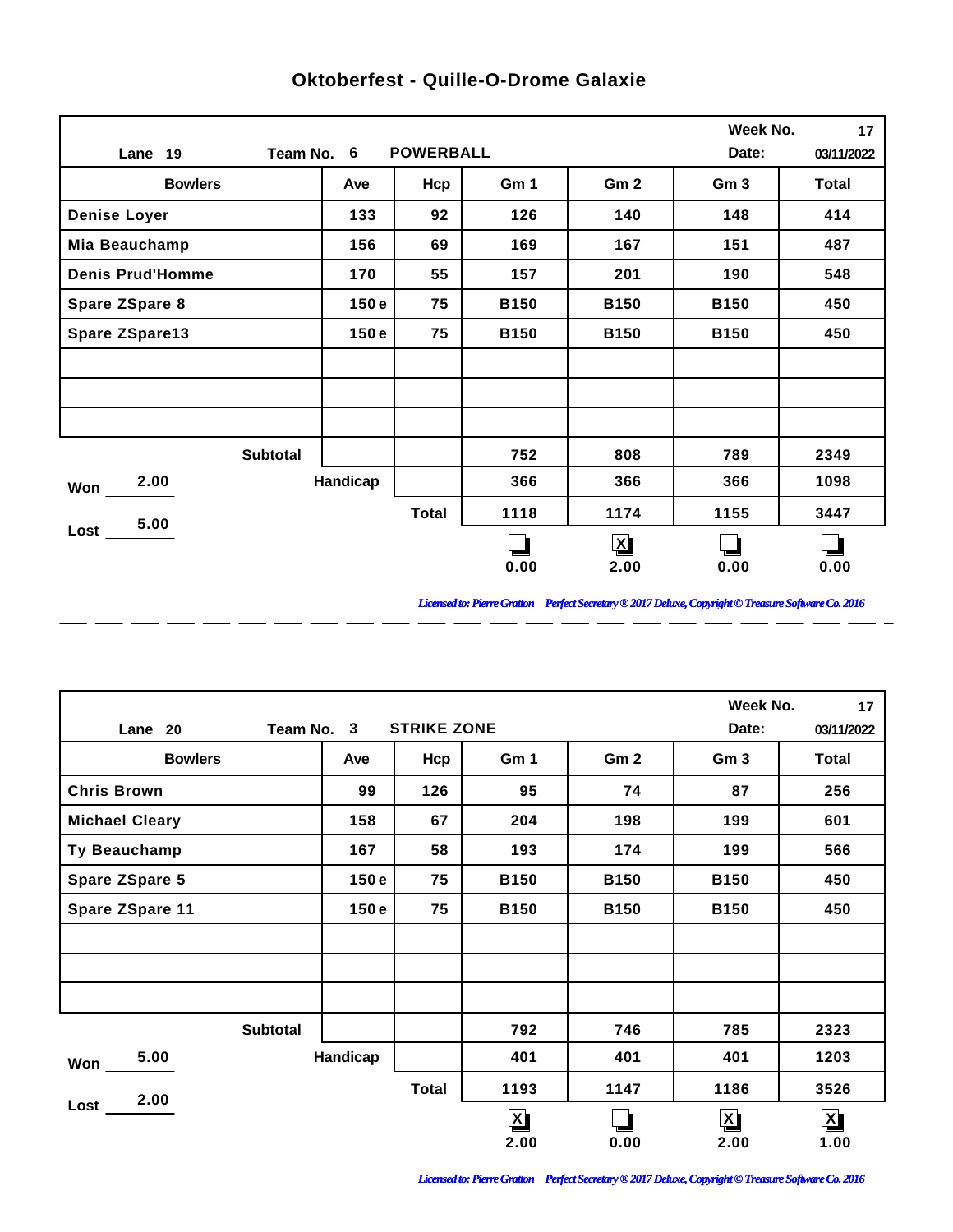|                         |            |                  |             |                 | Week No.        | 17           |
|-------------------------|------------|------------------|-------------|-----------------|-----------------|--------------|
| Lane 19                 | Team No. 6 | <b>POWERBALL</b> |             |                 | Date:           | 03/11/2022   |
| <b>Bowlers</b>          | Ave        | Hcp              | Gm 1        | Gm <sub>2</sub> | Gm <sub>3</sub> | <b>Total</b> |
| <b>Denise Loyer</b>     | 133        | 92               | 126         | 140             | 148             | 414          |
| Mia Beauchamp           | 156        | 69               | 169         | 167             | 151             | 487          |
| <b>Denis Prud'Homme</b> | 170        | 55               | 157         | 201             | 190             | 548          |
| Spare ZSpare 8          | 150e       | 75               | <b>B150</b> | <b>B150</b>     | <b>B150</b>     | 450          |
| Spare ZSpare13          | 150e       | 75               | <b>B150</b> | <b>B150</b>     | <b>B150</b>     | 450          |
|                         |            |                  |             |                 |                 |              |
|                         |            |                  |             |                 |                 |              |
|                         |            |                  |             |                 |                 |              |
| <b>Subtotal</b>         |            |                  | 752         | 808             | 789             | 2349         |
| 2.00<br>Won             | Handicap   |                  | 366         | 366             | 366             | 1098         |
| 5.00                    |            | <b>Total</b>     | 1118        | 1174            | 1155            | 3447         |
| Lost                    |            |                  |             | $\mathbf{X}$    |                 |              |
|                         |            |                  | 0.00        | 2.00            | 0.00            | 0.00         |

 $\overline{a}$ 

 $\overline{a}$ 

 $\overline{a}$ 

 $\overline{a}$ 

 $\overline{a}$ 

 $\overline{a}$ 

 $\overline{a}$ 

## **Oktoberfest - Quille-O-Drome Galaxie**

*Licensed to: Pierre Gratton Perfect Secretary ® 2017 Deluxe, Copyright © Treasure Software Co. 2016*

<u> 2002 - 2003 - 2003 - 2003 - 2003 - 2003 - 2003 - 2003 - 2003 - 2003 - 2003 - 2003 - 2003 - 2003 - 2003 - 200</u>

|                       |          |                    |              |                 | Week No.        | 17                      |
|-----------------------|----------|--------------------|--------------|-----------------|-----------------|-------------------------|
| Team No. 3<br>Lane 20 |          | <b>STRIKE ZONE</b> |              |                 | Date:           | 03/11/2022              |
| <b>Bowlers</b>        | Ave      | Hcp                | Gm 1         | Gm <sub>2</sub> | Gm <sub>3</sub> | Total                   |
| <b>Chris Brown</b>    | 99       | 126                | 95           | 74              | 87              | 256                     |
| <b>Michael Cleary</b> | 158      | 67                 | 204          | 198             | 199             | 601                     |
| Ty Beauchamp          | 167      | 58                 | 193          | 174             | 199             | 566                     |
| <b>Spare ZSpare 5</b> | 150e     | 75                 | <b>B150</b>  | <b>B150</b>     | <b>B150</b>     | 450                     |
| Spare ZSpare 11       | 150e     | 75                 | <b>B150</b>  | <b>B150</b>     | <b>B150</b>     | 450                     |
|                       |          |                    |              |                 |                 |                         |
|                       |          |                    |              |                 |                 |                         |
|                       |          |                    |              |                 |                 |                         |
| <b>Subtotal</b>       |          |                    | 792          | 746             | 785             | 2323                    |
| 5.00<br>Won           | Handicap |                    | 401          | 401             | 401             | 1203                    |
| 2.00                  |          | <b>Total</b>       | 1193         | 1147            | 1186            | 3526                    |
| Lost                  |          |                    | $\mathbf{X}$ |                 | $\mathbf{X}$    | $\overline{\mathbf{X}}$ |
|                       |          |                    | 2.00         | 0.00            | 2.00            | 1.00                    |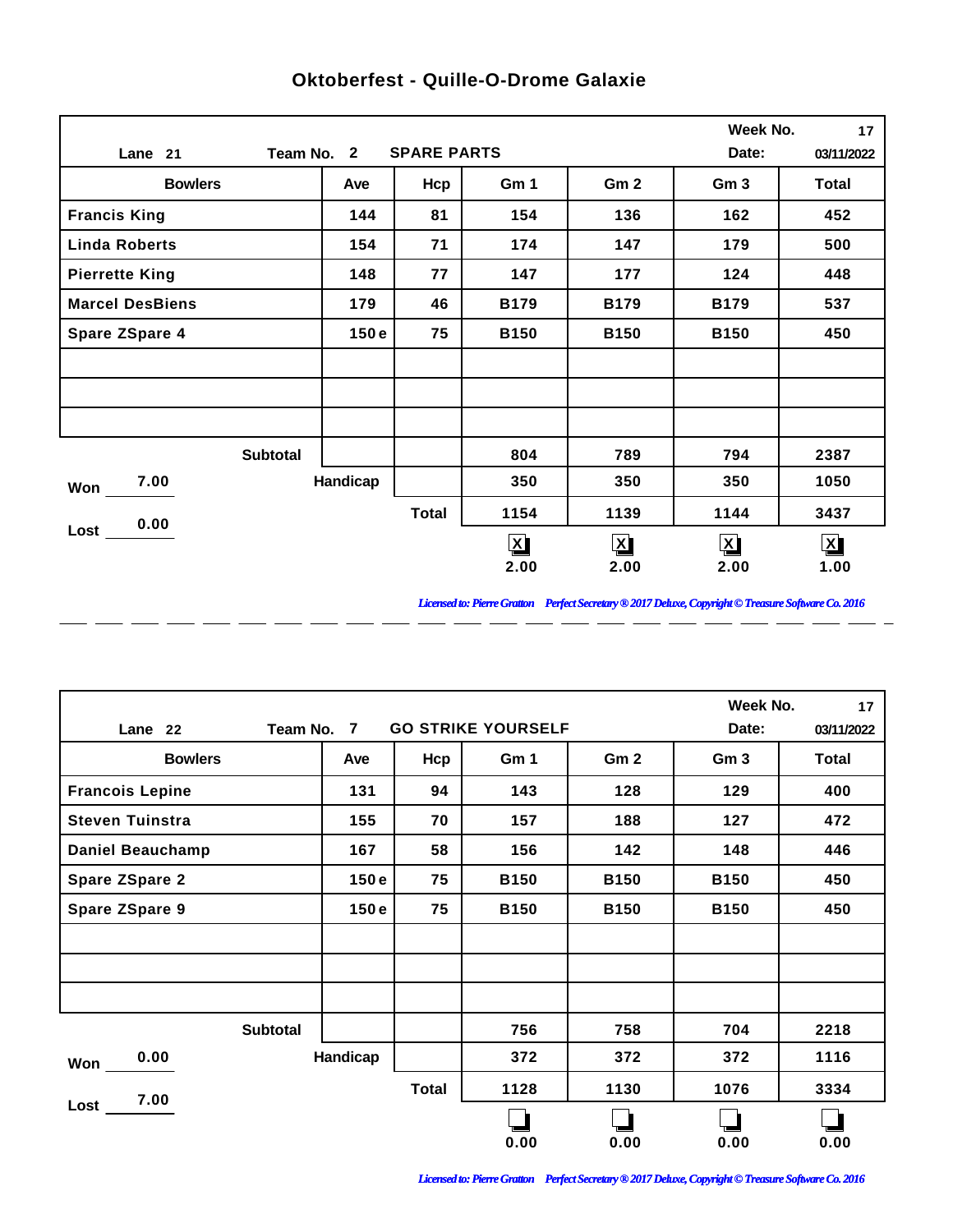|                        |            |                    |              |                 | Week No.        | 17           |
|------------------------|------------|--------------------|--------------|-----------------|-----------------|--------------|
| Lane 21                | Team No. 2 | <b>SPARE PARTS</b> |              |                 | Date:           | 03/11/2022   |
| <b>Bowlers</b>         | Ave        | Hcp                | Gm 1         | Gm <sub>2</sub> | Gm <sub>3</sub> | <b>Total</b> |
| <b>Francis King</b>    | 144        | 81                 | 154          | 136             | 162             | 452          |
| <b>Linda Roberts</b>   | 154        | 71                 | 174          | 147             | 179             | 500          |
| <b>Pierrette King</b>  | 148        | 77                 | 147          | 177             | 124             | 448          |
| <b>Marcel DesBiens</b> | 179        | 46                 | <b>B179</b>  | <b>B179</b>     | <b>B179</b>     | 537          |
| <b>Spare ZSpare 4</b>  | 150e       | 75                 | <b>B150</b>  | <b>B150</b>     | <b>B150</b>     | 450          |
|                        |            |                    |              |                 |                 |              |
|                        |            |                    |              |                 |                 |              |
|                        |            |                    |              |                 |                 |              |
| <b>Subtotal</b>        |            |                    | 804          | 789             | 794             | 2387         |
| 7.00<br>Won            | Handicap   |                    | 350          | 350             | 350             | 1050         |
| 0.00                   |            | <b>Total</b>       | 1154         | 1139            | 1144            | 3437         |
| Lost                   |            |                    | $\mathbf{X}$ | $\mathbf{X}$    | $\mathbf{X}$    | $\mathbf{X}$ |
|                        |            |                    | 2.00         | 2.00            | 2.00            | 1.00         |

 $\overline{a}$ 

 $\overline{a}$ 

 $\overline{a}$ 

 $\overline{a}$ 

 $\overline{a}$ 

 $\overline{a}$ 

 $\overline{a}$ 

## **Oktoberfest - Quille-O-Drome Galaxie**

*Licensed to: Pierre Gratton Perfect Secretary ® 2017 Deluxe, Copyright © Treasure Software Co. 2016*

<u> 2002 - 2003 - 2003 - 2003 - 2003 - 2003 - 2003 - 2003 - 2003 - 2003 - 2003 - 2003 - 2003 - 2003 - 2003 - 200</u>

|                         |                |              |                           |                 | Week No.        | 17           |
|-------------------------|----------------|--------------|---------------------------|-----------------|-----------------|--------------|
| Team No.<br>Lane 22     | $\overline{7}$ |              | <b>GO STRIKE YOURSELF</b> |                 | Date:           | 03/11/2022   |
| <b>Bowlers</b>          | Ave            | Hcp          | Gm 1                      | Gm <sub>2</sub> | Gm <sub>3</sub> | <b>Total</b> |
| <b>Francois Lepine</b>  | 131            | 94           | 143                       | 128             | 129             | 400          |
| <b>Steven Tuinstra</b>  | 155            | 70           | 157                       | 188             | 127             | 472          |
| <b>Daniel Beauchamp</b> | 167            | 58           | 156                       | 142             | 148             | 446          |
| <b>Spare ZSpare 2</b>   | 150e           | 75           | <b>B150</b>               | <b>B150</b>     | <b>B150</b>     | 450          |
| <b>Spare ZSpare 9</b>   | 150e           | 75           | <b>B150</b>               | <b>B150</b>     | <b>B150</b>     | 450          |
|                         |                |              |                           |                 |                 |              |
|                         |                |              |                           |                 |                 |              |
|                         |                |              |                           |                 |                 |              |
| <b>Subtotal</b>         |                |              | 756                       | 758             | 704             | 2218         |
| 0.00<br>Won             | Handicap       |              | 372                       | 372             | 372             | 1116         |
| 7.00                    |                | <b>Total</b> | 1128                      | 1130            | 1076            | 3334         |
| Lost                    |                |              | 0.00                      | 0.00            | 0.00            | 0.00         |